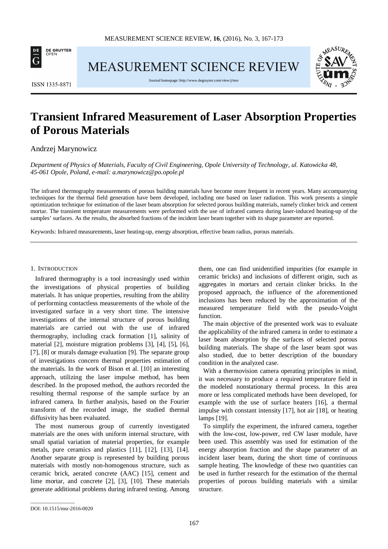

MEASUREMENT SCIENCE REVIEW



**ISSN 1335-8871** 

Journal homepage[: http://www.degruyter.com/view/j/msr](http://www.degruyter.com/view/j/msr)

# **Transient Infrared Measurement of Laser Absorption Properties of Porous Materials**

# Andrzej Marynowicz

*Department of Physics of Materials, Faculty of Civil Engineering, Opole University of Technology, ul. Katowicka 48, 45-061 Opole, Poland, e-mail: a.marynowicz@po.opole.pl*

The infrared thermography measurements of porous building materials have become more frequent in recent years. Many accompanying techniques for the thermal field generation have been developed, including one based on laser radiation. This work presents a simple optimization technique for estimation of the laser beam absorption for selected porous building materials, namely clinker brick and cement mortar. The transient temperature measurements were performed with the use of infrared camera during laser-induced heating-up of the samples' surfaces. As the results, the absorbed fractions of the incident laser beam together with its shape parameter are reported.

Keywords: Infrared measurements, laser heating-up, energy absorption, effective beam radius, porous materials.

## 1. INTRODUCTION

Infrared thermography is a tool increasingly used within the investigations of physical properties of building materials. It has unique properties, resulting from the ability of performing contactless measurements of the whole of the investigated surface in a very short time. The intensive investigations of the internal structure of porous building materials are carried out with the use of infrared thermography, including crack formation [1], salinity of material [2], moisture migration problems [3], [4], [5], [6], [7], [8] or murals damage evaluation [9]. The separate group of investigations concern thermal properties estimation of the materials. In the work of Bison et al. [10] an interesting approach, utilizing the laser impulse method, has been described. In the proposed method, the authors recorded the resulting thermal response of the sample surface by an infrared camera. In further analysis, based on the Fourier transform of the recorded image, the studied thermal diffusivity has been evaluated.

The most numerous group of currently investigated materials are the ones with uniform internal structure, with small spatial variation of material properties, for example metals, pure ceramics and plastics [11], [12], [13], [14]. Another separate group is represented by building porous materials with mostly non-homogenous structure, such as ceramic brick, aerated concrete (AAC) [15], cement and lime mortar, and concrete [2], [3], [10]. These materials generate additional problems during infrared testing. Among them, one can find unidentified impurities (for example in ceramic bricks) and inclusions of different origin, such as aggregates in mortars and certain clinker bricks. In the proposed approach, the influence of the aforementioned inclusions has been reduced by the approximation of the measured temperature field with the pseudo-Voight function.

The main objective of the presented work was to evaluate the applicability of the infrared camera in order to estimate a laser beam absorption by the surfaces of selected porous building materials. The shape of the laser beam spot was also studied, due to better description of the boundary condition in the analyzed case.

With a thermovision camera operating principles in mind, it was necessary to produce a required temperature field in the modeled nonstationary thermal process. In this area more or less complicated methods have been developed, for example with the use of surface heaters [16], a thermal impulse with constant intensity [17], hot air [18], or heating lamps [19].

To simplify the experiment, the infrared camera, together with the low-cost, low-power, red CW laser module, have been used. This assembly was used for estimation of the energy absorption fraction and the shape parameter of an incident laser beam, during the short time of continuous sample heating. The knowledge of these two quantities can be used in further research for the estimation of the thermal properties of porous building materials with a similar structure.

\_\_\_\_\_\_\_\_\_\_\_\_\_\_\_\_\_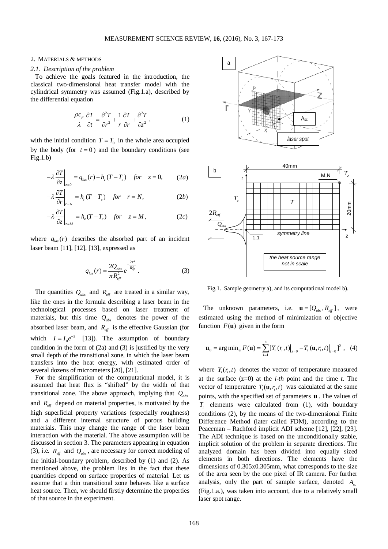## 2. MATERIALS & METHODS

## *2.1. Description of the problem*

To achieve the goals featured in the introduction, the classical two-dimensional heat transfer model with the cylindrical symmetry was assumed (Fig.1.a), described by the differential equation

$$
\frac{\rho c_p}{\lambda} \frac{\partial T}{\partial t} = \frac{\partial^2 T}{\partial r^2} + \frac{1}{r} \frac{\partial T}{\partial r} + \frac{\partial^2 T}{\partial z^2},
$$
 (1)

with the initial condition  $T = T_0$  in the whole area occupied by the body (for  $t = 0$ ) and the boundary conditions (see  $Fig.1.b)$ 

$$
-\lambda \frac{\partial T}{\partial z}\bigg|_{z=0} = q_{las}(r) - h_z(T - T_e) \quad \text{for} \quad z = 0,
$$
 (2*a*)

$$
-\lambda \frac{\partial T}{\partial r}\bigg|_{r=N} = h_r (T - T_e) \quad \text{for} \quad r = N,
$$
 (2b)

$$
-\lambda \frac{\partial T}{\partial z}\bigg|_{z=M} = h_z(T - T_e) \quad \text{for} \quad z = M,
$$
 (2c)

where  $q_{\text{loc}}(r)$  describes the absorbed part of an incident laser beam [11], [12], [13], expressed as

$$
q_{las}(r) = \frac{2Q_{abs}}{\pi R_{eff}^2} e^{-\frac{2r^2}{R_{eff}^2}}.
$$
 (3)

The quantities  $Q_{\text{abs}}$  and  $R_{\text{eff}}$  are treated in a similar way, like the ones in the formula describing a laser beam in the technological processes based on laser treatment of materials, but this time  $Q_{abs}$  denotes the power of the absorbed laser beam, and  $R_{\text{eff}}$  is the effective Gaussian (for which  $I = I_0 e^{-2}$  [13]). The assumption of boundary condition in the form of (2a) and (3) is justified by the very small depth of the transitional zone, in which the laser beam transfers into the heat energy, with estimated order of several dozens of micrometers [20], [21].

For the simplification of the computational model, it is assumed that heat flux is "shifted" by the width of that transitional zone. The above approach, implying that *Qabs* and  $R_{\text{eff}}$  depend on material properties, is motivated by the high superficial property variations (especially roughness) and a different internal structure of porous building materials. This may change the range of the laser beam interaction with the material. The above assumption will be discussed in section 3. The parameters appearing in equation (3), i.e.  $R_{\text{eff}}$  and  $Q_{\text{abs}}$ , are necessary for correct modeling of the initial-boundary problem, described by (1) and (2). As mentioned above, the problem lies in the fact that these quantities depend on surface properties of material. Let us assume that a thin transitional zone behaves like a surface heat source. Then, we should firstly determine the properties of that source in the experiment.



Fig.1. Sample geometry a), and its computational model b).

The unknown parameters, i.e.  $\mathbf{u} = [Q_{\text{abs}}, R_{\text{eff}}]$ , were estimated using the method of minimization of objective function  $F(\mathbf{u})$  given in the form

$$
\mathbf{u}_{0} = \arg\min_{\mathbf{u}} F(\mathbf{u}) = \sum_{i=1}^{n} \left[ Y_{i} (r_{i}, t) \right]_{z=0} - T_{i} (\mathbf{u}, r_{i}, t) \Big|_{z=0} \right]^{2}, \quad (4)
$$

where  $Y_i(r, t)$  denotes the vector of temperature measured at the surface (z=0) at the *i-th* point and the time *t*. The vector of temperature  $T_i(\mathbf{u}, r_i, t)$  was calculated at the same points, with the specified set of parameters **u** . The values of *Ti* elements were calculated from (1), with boundary conditions (2), by the means of the two-dimensional Finite Difference Method (later called FDM), according to the Peaceman – Rachford implicit ADI scheme [12], [22], [23]. The ADI technique is based on the unconditionally stable, implicit solution of the problem in separate directions. The analyzed domain has been divided into equally sized elements in both directions. The elements have the dimensions of 0.305x0.305mm, what corresponds to the size of the area seen by the one pixel of IR camera. For further analysis, only the part of sample surface, denoted *A<sub>sc</sub>* (Fig.1.a.), was taken into account, due to a relatively small laser spot range.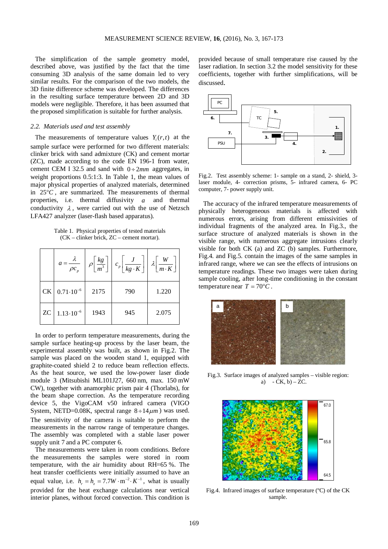The simplification of the sample geometry model, described above, was justified by the fact that the time consuming 3D analysis of the same domain led to very similar results. For the comparison of the two models, the 3D finite difference scheme was developed. The differences in the resulting surface temperature between 2D and 3D models were negligible. Therefore, it has been assumed that the proposed simplification is suitable for further analysis.

# *2.2. Materials used and test assembly*

The measurements of temperature values  $Y_i(r,t)$  at the sample surface were performed for two different materials: clinker brick with sand admixture (CK) and cement mortar (ZC), made according to the code EN 196-1 from water, cement CEM I 32.5 and sand with  $0 \div 2mm$  aggregates, in weight proportions 0.5:1:3. In Table 1, the mean values of major physical properties of analyzed materials, determined in 25°*C* , are summarized. The measurements of thermal properties, i.e. thermal diffusivity *a* and thermal conductivity  $\lambda$ , were carried out with the use of Netzsch LFA427 analyzer (laser-flash based apparatus).

Table 1. Physical properties of tested materials (CK – clinker brick, ZC – cement mortar).

|           | $a = \frac{\lambda}{\rho c_p}$ | $\rho\left[\frac{kg}{m^3}\right]$ | $c_p\left[\frac{\epsilon}{kg\cdot K}\right]$ | $\overline{m\cdot K}$ |
|-----------|--------------------------------|-----------------------------------|----------------------------------------------|-----------------------|
| <b>CK</b> | $0.71 \cdot 10^{-6}$           | 2175                              | 790                                          | 1.220                 |
| <b>ZC</b> | $1.13 \cdot 10^{-6}$           | 1943                              | 945                                          | 2.075                 |

In order to perform temperature measurements, during the sample surface heating-up process by the laser beam, the experimental assembly was built, as shown in Fig.2. The sample was placed on the wooden stand 1, equipped with graphite-coated shield 2 to reduce beam reflection effects. As the heat source, we used the low-power laser diode module 3 (Mitsubishi ML101J27, 660 nm, max. 150 mW CW), together with anamorphic prism pair 4 (Thorlabs), for the beam shape correction. As the temperature recording device 5, the VigoCAM v50 infrared camera (VIGO System, NETD=0.08K, spectral range  $8 \div 14 \mu m$  was used. The sensitivity of the camera is suitable to perform the measurements in the narrow range of temperature changes. The assembly was completed with a stable laser power supply unit 7 and a PC computer 6.

The measurements were taken in room conditions. Before the measurements the samples were stored in room temperature, with the air humidity about RH=65 %. The heat transfer coefficients were initially assumed to have an equal value, i.e.  $h_r = h_r = 7.7 W \cdot m^{-2} \cdot K^{-1}$ , what is usually provided for the heat exchange calculations near vertical interior planes, without forced convection. This condition is provided because of small temperature rise caused by the laser radiation. In section 3.2 the model sensitivity for these coefficients, together with further simplifications, will be discussed.



Fig.2. Test assembly scheme: 1- sample on a stand, 2- shield, 3 laser module, 4- correction prisms, 5- infrared camera, 6- PC computer, 7- power supply unit.

The accuracy of the infrared temperature measurements of physically heterogeneous materials is affected with numerous errors, arising from different emissivities of individual fragments of the analyzed area. In Fig.3., the surface structure of analyzed materials is shown in the visible range, with numerous aggregate intrusions clearly visible for both CK (a) and ZC (b) samples. Furthermore, Fig.4. and Fig.5. contain the images of the same samples in infrared range, where we can see the effects of intrusions on temperature readings. These two images were taken during sample cooling, after long-time conditioning in the constant temperature near  $T = 70^{\circ}C$ .



Fig.3. Surface images of analyzed samples – visible region: a)  $-CK$ , b)  $-ZC$ .



Fig.4. Infrared images of surface temperature (ºC) of the CK sample.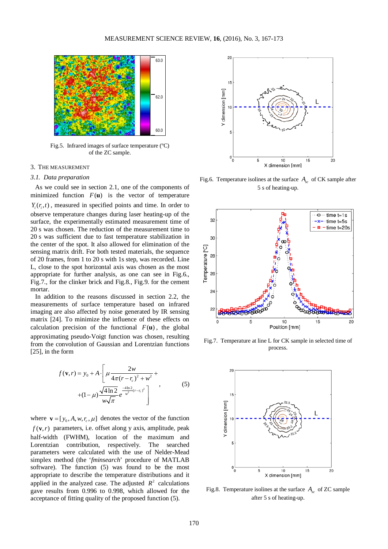

Fig.5. Infrared images of surface temperature (ºC) of the ZC sample.

# 3. THE MEASUREMENT

## *3.1. Data preparation*

As we could see in section 2.1, one of the components of minimized function  $F(u)$  is the vector of temperature  $Y_i(r_i, t)$ , measured in specified points and time. In order to observe temperature changes during laser heating-up of the surface, the experimentally estimated measurement time of 20 s was chosen. The reduction of the measurement time to 20 s was sufficient due to fast temperature stabilization in the center of the spot. It also allowed for elimination of the sensing matrix drift. For both tested materials, the sequence of 20 frames, from 1 to 20 s with 1s step, was recorded. Line L, close to the spot horizontal axis was chosen as the most appropriate for further analysis, as one can see in Fig.6., Fig.7., for the clinker brick and Fig.8., Fig.9. for the cement mortar.

In addition to the reasons discussed in section 2.2, the measurements of surface temperature based on infrared imaging are also affected by noise generated by IR sensing matrix [24]. To minimize the influence of these effects on calculation precision of the functional  $F(\mathbf{u})$ , the global approximating pseudo-Voigt function was chosen, resulting from the convolution of Gaussian and Lorentzian functions [25], in the form

$$
f(\mathbf{v}, r) = y_0 + A \cdot \left[ \mu \frac{2w}{4\pi (r - r_c)^2 + w^2} + \right. + (1 - \mu) \frac{\sqrt{4 \ln 2}}{w \sqrt{\pi}} e^{\frac{-4 \ln 2}{w^2 (r - r_c)^2}} \right],
$$
(5)

where  $\mathbf{v} = [y_0, A, w, r_c, \mu]$  denotes the vector of the function  $f(\mathbf{v},r)$  parameters, i.e. offset along y axis, amplitude, peak half-width (FWHM), location of the maximum and Lorentzian contribution, respectively. The searched parameters were calculated with the use of Nelder-Mead simplex method (the '*fminsearch*' procedure of MATLAB software). The function (5) was found to be the most appropriate to describe the temperature distributions and it applied in the analyzed case. The adjusted  $R^2$  calculations gave results from 0.996 to 0.998, which allowed for the acceptance of fitting quality of the proposed function (5).



Fig.6. Temperature isolines at the surface *Asc* of CK sample after 5 s of heating-up.



Fig.7. Temperature at line L for CK sample in selected time of process.



Fig.8. Temperature isolines at the surface  $A<sub>co</sub>$  of ZC sample after 5 s of heating-up.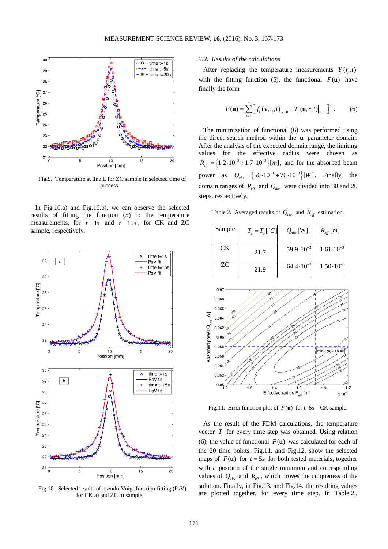

Fig.9. Temperature at line L for ZC sample in selected time of process.

In Fig.10.a) and Fig.10.b), we can observe the selected results of fitting the function (5) to the temperature measurements, for  $t = 1s$  and  $t = 15s$ , for CK and ZC sample, respectively.



Fig.10. Selected results of pseudo-Voigt function fitting (PsV) for CK a) and ZC b) sample.

# *3.2. Results of the calculations*

After replacing the temperature measurements  $Y_i(r, t)$ with the fitting function (5), the functional  $F(\mathbf{u})$  have finally the form

$$
F(\mathbf{u}) = \sum_{i=1}^{n} \left[ f_i(\mathbf{v}, \mathbf{r}_i, t) \Big|_{z=0} - T_i(\mathbf{u}, r, t) \Big|_{z=0} \right]^2. \tag{6}
$$

The minimization of functional (6) was performed using the direct search method within the **u** parameter domain. After the analysis of the expected domain range, the limiting values for the effective radius were chosen as  $R_{\text{eff}} = \left\{ 1.2 \cdot 10^{-3} \div 1.7 \cdot 10^{-3} \right\}$  [*m*], and for the absorbed beam power as  $Q_{abs} = \{50 \cdot 10^{-3} \div 70 \cdot 10^{-3} \}$  [*W*]. Finally, the domain ranges of  $R_{\text{eff}}$  and  $Q_{\text{abs}}$  were divided into 30 and 20 steps, respectively.

Table 2. Averaged results of  $\overline{Q}_{abs}$  and  $\overline{R}_{eff}$  estimation.

| Sample | $T_e = T_0 [^{\circ}C]$ | $Q_{\textit{abs}}$ [W] | $R_{\text{eff}}[m]$  |
|--------|-------------------------|------------------------|----------------------|
|        |                         |                        |                      |
|        |                         |                        |                      |
| СK     |                         | $59.9 \cdot 10^{-3}$   | $1.61 \cdot 10^{-3}$ |
|        | 21.7                    |                        |                      |
|        |                         |                        |                      |
| ZC     |                         | $64.4 \cdot 10^{-3}$   | $1.50 \cdot 10^{-3}$ |
|        | 21.9                    |                        |                      |
|        |                         |                        |                      |



Fig.11. Error function plot of  $F(\mathbf{u})$  for  $t=5s - CK$  sample.

As the result of the FDM calculations, the temperature vector  $T_i$  for every time step was obtained. Using relation (6), the value of functional  $F(\mathbf{u})$  was calculated for each of the 20 time points. Fig.11. and Fig.12. show the selected maps of  $F(\mathbf{u})$  for  $t = 5s$  for both tested materials, together with a position of the single minimum and corresponding values of  $Q_{\text{abs}}$  and  $R_{\text{eff}}$ , which proves the uniqueness of the solution. Finally, in Fig.13. and Fig.14. the resulting values are plotted together, for every time step. In Table 2.,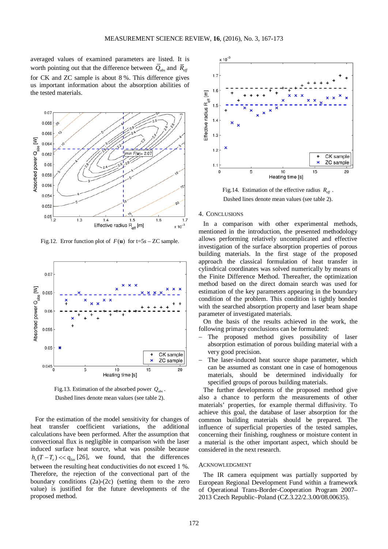averaged values of examined parameters are listed. It is worth pointing out that the difference between  $\overline{Q}_{obs}$  and  $\overline{R}_{eff}$ for CK and ZC sample is about 8 %. This difference gives us important information about the absorption abilities of the tested materials.



Fig.12. Error function plot of  $F(u)$  for t=5*s* – ZC sample.



Fig.13. Estimation of the absorbed power  $Q_{abc}$ . Dashed lines denote mean values (see table 2).

For the estimation of the model sensitivity for changes of heat transfer coefficient variations, the additional calculations have been performed. After the assumption that convectional flux is negligible in comparison with the laser induced surface heat source, what was possible because  $h_z(T - T_e) \ll q_{las}$  [26], we found, that the differences between the resulting heat conductivities do not exceed 1 %. Therefore, the rejection of the convectional part of the boundary conditions (2a)-(2c) (setting them to the zero value) is justified for the future developments of the proposed method.



Fig.14. Estimation of the effective radius  $R_{\text{eff}}$ . Dashed lines denote mean values (see table 2).

#### 4. CONCLUSIONS

In a comparison with other experimental methods, mentioned in the introduction, the presented methodology allows performing relatively uncomplicated and effective investigation of the surface absorption properties of porous building materials. In the first stage of the proposed approach the classical formulation of heat transfer in cylindrical coordinates was solved numerically by means of the Finite Difference Method. Thereafter, the optimization method based on the direct domain search was used for estimation of the key parameters appearing in the boundary condition of the problem. This condition is tightly bonded with the searched absorption property and laser beam shape parameter of investigated materials.

On the basis of the results achieved in the work, the following primary conclusions can be formulated:

- The proposed method gives possibility of laser absorption estimation of porous building material with a very good precision.
- − The laser-induced heat source shape parameter, which can be assumed as constant one in case of homogenous materials, should be determined individually for specified groups of porous building materials.

The further developments of the proposed method give also a chance to perform the measurements of other materials' properties, for example thermal diffusivity. To achieve this goal, the database of laser absorption for the common building materials should be prepared. The influence of superficial properties of the tested samples, concerning their finishing, roughness or moisture content in a material is the other important aspect, which should be considered in the next research.

# ACKNOWLEDGMENT

The IR camera equipment was partially supported by European Regional Development Fund within a framework of Operational Trans-Border-Cooperation Program 2007– 2013 Czech Republic–Poland (CZ.3.22/2.3.00/08.00635).